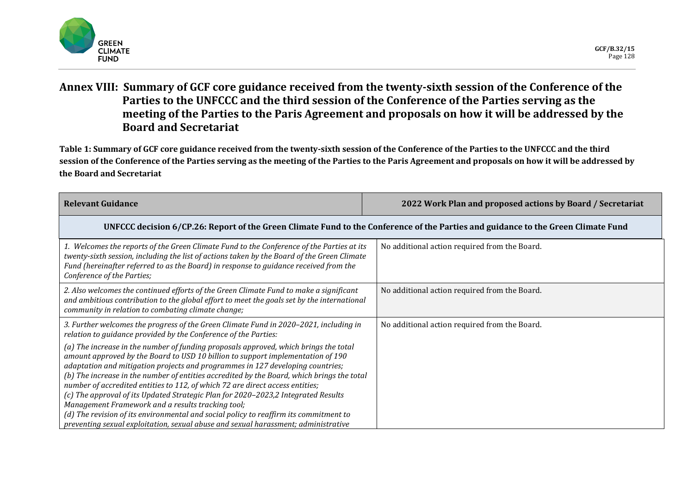

## **Annex VIII: Summary of GCF core guidance received from the twenty-sixth session of the Conference of the Parties to the UNFCCC and the third session of the Conference of the Parties serving as the meeting of the Parties to the Paris Agreement and proposals on how it will be addressed by the Board and Secretariat**

**Table 1: Summary of GCF core guidance received from the twenty-sixth session of the Conference of the Parties to the UNFCCC and the third session of the Conference of the Parties serving as the meeting of the Parties to the Paris Agreement and proposals on how it will be addressed by the Board and Secretariat** 

| <b>Relevant Guidance</b>                                                                                                                                                                                                                                                                                                                                                                                                                                                                                                                                                                                                                                                                                                                       | 2022 Work Plan and proposed actions by Board / Secretariat |  |
|------------------------------------------------------------------------------------------------------------------------------------------------------------------------------------------------------------------------------------------------------------------------------------------------------------------------------------------------------------------------------------------------------------------------------------------------------------------------------------------------------------------------------------------------------------------------------------------------------------------------------------------------------------------------------------------------------------------------------------------------|------------------------------------------------------------|--|
| UNFCCC decision 6/CP.26: Report of the Green Climate Fund to the Conference of the Parties and guidance to the Green Climate Fund                                                                                                                                                                                                                                                                                                                                                                                                                                                                                                                                                                                                              |                                                            |  |
| 1. Welcomes the reports of the Green Climate Fund to the Conference of the Parties at its<br>twenty-sixth session, including the list of actions taken by the Board of the Green Climate<br>Fund (hereinafter referred to as the Board) in response to guidance received from the<br>Conference of the Parties;                                                                                                                                                                                                                                                                                                                                                                                                                                | No additional action required from the Board.              |  |
| 2. Also welcomes the continued efforts of the Green Climate Fund to make a significant<br>and ambitious contribution to the global effort to meet the goals set by the international<br>community in relation to combating climate change;                                                                                                                                                                                                                                                                                                                                                                                                                                                                                                     | No additional action required from the Board.              |  |
| 3. Further welcomes the progress of the Green Climate Fund in 2020–2021, including in<br>relation to guidance provided by the Conference of the Parties:<br>(a) The increase in the number of funding proposals approved, which brings the total<br>amount approved by the Board to USD 10 billion to support implementation of 190<br>adaptation and mitigation projects and programmes in 127 developing countries;<br>(b) The increase in the number of entities accredited by the Board, which brings the total<br>number of accredited entities to 112, of which 72 are direct access entities;<br>(c) The approval of its Updated Strategic Plan for 2020-2023,2 Integrated Results<br>Management Framework and a results tracking tool; | No additional action required from the Board.              |  |
| (d) The revision of its environmental and social policy to reaffirm its commitment to<br>preventing sexual exploitation, sexual abuse and sexual harassment; administrative                                                                                                                                                                                                                                                                                                                                                                                                                                                                                                                                                                    |                                                            |  |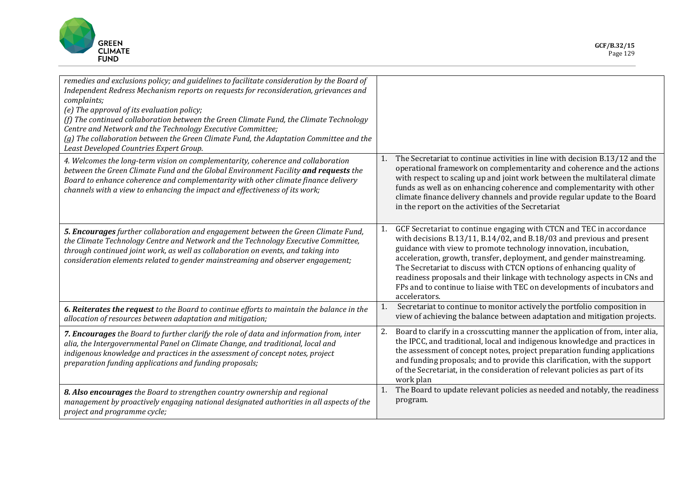

| remedies and exclusions policy; and guidelines to facilitate consideration by the Board of<br>Independent Redress Mechanism reports on requests for reconsideration, grievances and<br>complaints;<br>(e) The approval of its evaluation policy;<br>(f) The continued collaboration between the Green Climate Fund, the Climate Technology<br>Centre and Network and the Technology Executive Committee;<br>(g) The collaboration between the Green Climate Fund, the Adaptation Committee and the<br>Least Developed Countries Expert Group. |                                                                                                                                                                                                                                                                                                                                                                                                                                                                                                                                                   |
|-----------------------------------------------------------------------------------------------------------------------------------------------------------------------------------------------------------------------------------------------------------------------------------------------------------------------------------------------------------------------------------------------------------------------------------------------------------------------------------------------------------------------------------------------|---------------------------------------------------------------------------------------------------------------------------------------------------------------------------------------------------------------------------------------------------------------------------------------------------------------------------------------------------------------------------------------------------------------------------------------------------------------------------------------------------------------------------------------------------|
| 4. Welcomes the long-term vision on complementarity, coherence and collaboration<br>between the Green Climate Fund and the Global Environment Facility and requests the<br>Board to enhance coherence and complementarity with other climate finance delivery<br>channels with a view to enhancing the impact and effectiveness of its work;                                                                                                                                                                                                  | The Secretariat to continue activities in line with decision B.13/12 and the<br>1.<br>operational framework on complementarity and coherence and the actions<br>with respect to scaling up and joint work between the multilateral climate<br>funds as well as on enhancing coherence and complementarity with other<br>climate finance delivery channels and provide regular update to the Board<br>in the report on the activities of the Secretariat                                                                                           |
| <b>5. Encourages</b> further collaboration and engagement between the Green Climate Fund,<br>the Climate Technology Centre and Network and the Technology Executive Committee,<br>through continued joint work, as well as collaboration on events, and taking into<br>consideration elements related to gender mainstreaming and observer engagement;                                                                                                                                                                                        | GCF Secretariat to continue engaging with CTCN and TEC in accordance<br>1.<br>with decisions B.13/11, B.14/02, and B.18/03 and previous and present<br>guidance with view to promote technology innovation, incubation,<br>acceleration, growth, transfer, deployment, and gender mainstreaming.<br>The Secretariat to discuss with CTCN options of enhancing quality of<br>readiness proposals and their linkage with technology aspects in CNs and<br>FPs and to continue to liaise with TEC on developments of incubators and<br>accelerators. |
| 6. Reiterates the request to the Board to continue efforts to maintain the balance in the<br>allocation of resources between adaptation and mitigation;                                                                                                                                                                                                                                                                                                                                                                                       | Secretariat to continue to monitor actively the portfolio composition in<br>1.<br>view of achieving the balance between adaptation and mitigation projects.                                                                                                                                                                                                                                                                                                                                                                                       |
| 7. Encourages the Board to further clarify the role of data and information from, inter<br>alia, the Intergovernmental Panel on Climate Change, and traditional, local and<br>indigenous knowledge and practices in the assessment of concept notes, project<br>preparation funding applications and funding proposals;                                                                                                                                                                                                                       | 2.<br>Board to clarify in a crosscutting manner the application of from, inter alia,<br>the IPCC, and traditional, local and indigenous knowledge and practices in<br>the assessment of concept notes, project preparation funding applications<br>and funding proposals; and to provide this clarification, with the support<br>of the Secretariat, in the consideration of relevant policies as part of its<br>work plan                                                                                                                        |
| 8. Also encourages the Board to strengthen country ownership and regional<br>management by proactively engaging national designated authorities in all aspects of the<br>project and programme cycle;                                                                                                                                                                                                                                                                                                                                         | The Board to update relevant policies as needed and notably, the readiness<br>1.<br>program.                                                                                                                                                                                                                                                                                                                                                                                                                                                      |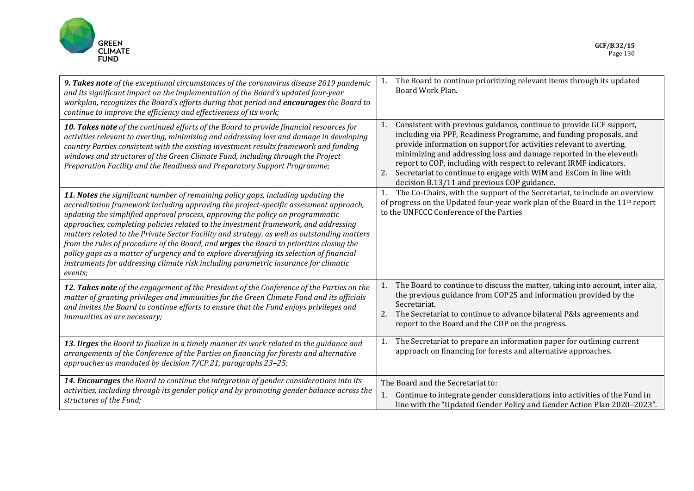

| 9. Takes note of the exceptional circumstances of the coronavirus disease 2019 pandemic<br>and its significant impact on the implementation of the Board's updated four-year<br>workplan, recognizes the Board's efforts during that period and encourages the Board to<br>continue to improve the efficiency and effectiveness of its work;                                                                                                                                                                                                                                                                                                                                                                                                 | The Board to continue prioritizing relevant items through its updated<br>1.<br>Board Work Plan.                                                                                                                                                                                                                                                                                                                                                                                              |
|----------------------------------------------------------------------------------------------------------------------------------------------------------------------------------------------------------------------------------------------------------------------------------------------------------------------------------------------------------------------------------------------------------------------------------------------------------------------------------------------------------------------------------------------------------------------------------------------------------------------------------------------------------------------------------------------------------------------------------------------|----------------------------------------------------------------------------------------------------------------------------------------------------------------------------------------------------------------------------------------------------------------------------------------------------------------------------------------------------------------------------------------------------------------------------------------------------------------------------------------------|
| 10. Takes note of the continued efforts of the Board to provide financial resources for<br>activities relevant to averting, minimizing and addressing loss and damage in developing<br>country Parties consistent with the existing investment results framework and funding<br>windows and structures of the Green Climate Fund, including through the Project<br>Preparation Facility and the Readiness and Preparatory Support Programme;                                                                                                                                                                                                                                                                                                 | Consistent with previous guidance, continue to provide GCF support,<br>1.<br>including via PPF, Readiness Programme, and funding proposals, and<br>provide information on support for activities relevant to averting,<br>minimizing and addressing loss and damage reported in the eleventh<br>report to COP, including with respect to relevant IRMF indicators.<br>Secretariat to continue to engage with WIM and ExCom in line with<br>2.<br>decision B.13/11 and previous COP guidance. |
| 11. Notes the significant number of remaining policy gaps, including updating the<br>accreditation framework including approving the project-specific assessment approach,<br>updating the simplified approval process, approving the policy on programmatic<br>approaches, completing policies related to the investment framework, and addressing<br>matters related to the Private Sector Facility and strategy, as well as outstanding matters<br>from the rules of procedure of the Board, and urges the Board to prioritize closing the<br>policy gaps as a matter of urgency and to explore diversifying its selection of financial<br>instruments for addressing climate risk including parametric insurance for climatic<br>events; | The Co-Chairs, with the support of the Secretariat, to include an overview<br>1.<br>of progress on the Updated four-year work plan of the Board in the 11 <sup>th</sup> report<br>to the UNFCCC Conference of the Parties                                                                                                                                                                                                                                                                    |
| 12. Takes note of the engagement of the President of the Conference of the Parties on the<br>matter of granting privileges and immunities for the Green Climate Fund and its officials<br>and invites the Board to continue efforts to ensure that the Fund enjoys privileges and<br>immunities as are necessary;                                                                                                                                                                                                                                                                                                                                                                                                                            | The Board to continue to discuss the matter, taking into account, inter alia,<br>1.<br>the previous guidance from COP25 and information provided by the<br>Secretariat.<br>The Secretariat to continue to advance bilateral P&Is agreements and<br>2.<br>report to the Board and the COP on the progress.                                                                                                                                                                                    |
| 13. Urges the Board to finalize in a timely manner its work related to the guidance and<br>arrangements of the Conference of the Parties on financing for forests and alternative<br>approaches as mandated by decision 7/CP.21, paragraphs 23-25;                                                                                                                                                                                                                                                                                                                                                                                                                                                                                           | The Secretariat to prepare an information paper for outlining current<br>1.<br>approach on financing for forests and alternative approaches.                                                                                                                                                                                                                                                                                                                                                 |
| 14. Encourages the Board to continue the integration of gender considerations into its<br>activities, including through its gender policy and by promoting gender balance across the<br>structures of the Fund;                                                                                                                                                                                                                                                                                                                                                                                                                                                                                                                              | The Board and the Secretariat to:<br>Continue to integrate gender considerations into activities of the Fund in<br>1.<br>line with the "Updated Gender Policy and Gender Action Plan 2020-2023".                                                                                                                                                                                                                                                                                             |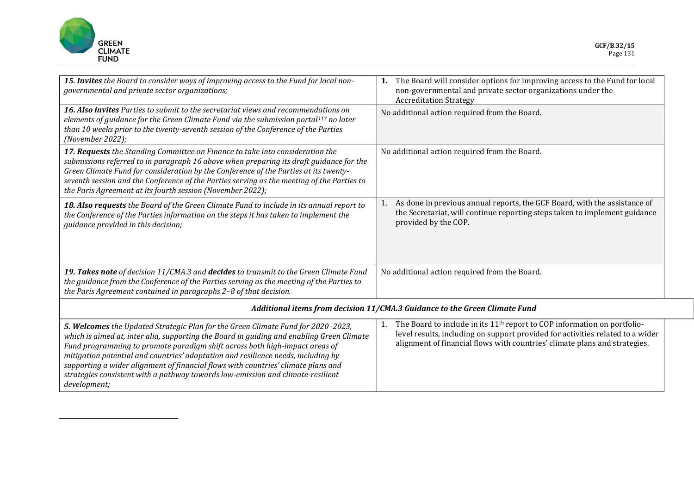<span id="page-3-0"></span>

*development;*

| 15. Invites the Board to consider ways of improving access to the Fund for local non-<br>governmental and private sector organizations;                                                                                                                                                                                                                                                                                                                                                                                   | The Board will consider options for improving access to the Fund for local<br>1.<br>non-governmental and private sector organizations under the<br><b>Accreditation Strategy</b>                                                                           |  |
|---------------------------------------------------------------------------------------------------------------------------------------------------------------------------------------------------------------------------------------------------------------------------------------------------------------------------------------------------------------------------------------------------------------------------------------------------------------------------------------------------------------------------|------------------------------------------------------------------------------------------------------------------------------------------------------------------------------------------------------------------------------------------------------------|--|
| <b>16. Also invites</b> Parties to submit to the secretariat views and recommendations on<br>elements of guidance for the Green Climate Fund via the submission portal <sup>117</sup> no later<br>than 10 weeks prior to the twenty-seventh session of the Conference of the Parties<br>(November 2022);                                                                                                                                                                                                                  | No additional action required from the Board.                                                                                                                                                                                                              |  |
| 17. Requests the Standing Committee on Finance to take into consideration the<br>submissions referred to in paragraph 16 above when preparing its draft guidance for the<br>Green Climate Fund for consideration by the Conference of the Parties at its twenty-<br>seventh session and the Conference of the Parties serving as the meeting of the Parties to<br>the Paris Agreement at its fourth session (November 2022);                                                                                              | No additional action required from the Board.                                                                                                                                                                                                              |  |
| 18. Also requests the Board of the Green Climate Fund to include in its annual report to<br>the Conference of the Parties information on the steps it has taken to implement the<br>guidance provided in this decision;                                                                                                                                                                                                                                                                                                   | As done in previous annual reports, the GCF Board, with the assistance of<br>1.<br>the Secretariat, will continue reporting steps taken to implement guidance<br>provided by the COP.                                                                      |  |
| 19. Takes note of decision 11/CMA.3 and decides to transmit to the Green Climate Fund<br>the guidance from the Conference of the Parties serving as the meeting of the Parties to<br>the Paris Agreement contained in paragraphs 2-8 of that decision.                                                                                                                                                                                                                                                                    | No additional action required from the Board.                                                                                                                                                                                                              |  |
| Additional items from decision 11/CMA.3 Guidance to the Green Climate Fund                                                                                                                                                                                                                                                                                                                                                                                                                                                |                                                                                                                                                                                                                                                            |  |
| 5. Welcomes the Updated Strategic Plan for the Green Climate Fund for 2020-2023,<br>which is aimed at, inter alia, supporting the Board in guiding and enabling Green Climate<br>Fund programming to promote paradigm shift across both high-impact areas of<br>mitigation potential and countries' adaptation and resilience needs, including by<br>supporting a wider alignment of financial flows with countries' climate plans and<br>strategies consistent with a pathway towards low-emission and climate-resilient | The Board to include in its 11 <sup>th</sup> report to COP information on portfolio-<br>1.<br>level results, including on support provided for activities related to a wider<br>alignment of financial flows with countries' climate plans and strategies. |  |